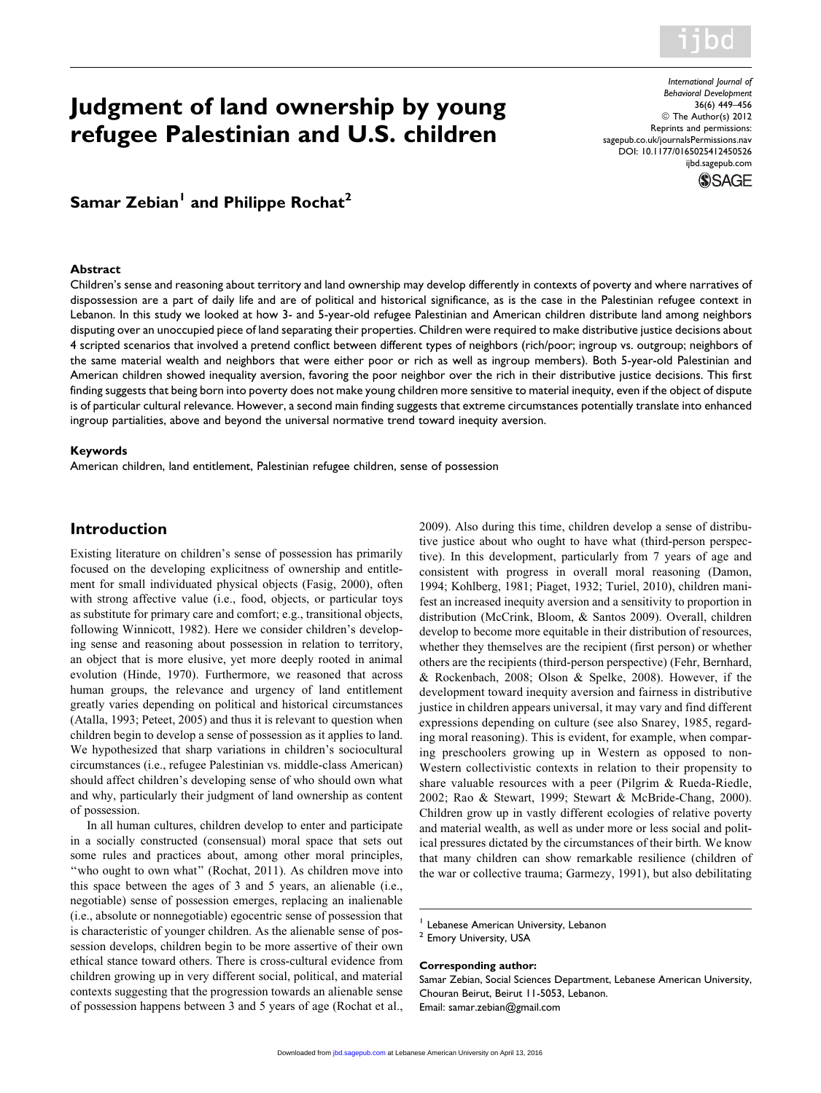

# Judgment of land ownership by young refugee Palestinian and U.S. children

International Journal of Behavioral Development 36(6) 449–456 © The Author(s) 2012 Reprints and permissions: sagepub.co.uk/journalsPermissions.nav DOI: 10.1177/0165025412450526 ijbd.sagepub.com



## Samar Zebian<sup>1</sup> and Philippe Rochat<sup>2</sup>

#### Abstract

Children's sense and reasoning about territory and land ownership may develop differently in contexts of poverty and where narratives of dispossession are a part of daily life and are of political and historical significance, as is the case in the Palestinian refugee context in Lebanon. In this study we looked at how 3- and 5-year-old refugee Palestinian and American children distribute land among neighbors disputing over an unoccupied piece of land separating their properties. Children were required to make distributive justice decisions about 4 scripted scenarios that involved a pretend conflict between different types of neighbors (rich/poor; ingroup vs. outgroup; neighbors of the same material wealth and neighbors that were either poor or rich as well as ingroup members). Both 5-year-old Palestinian and American children showed inequality aversion, favoring the poor neighbor over the rich in their distributive justice decisions. This first finding suggests that being born into poverty does not make young children more sensitive to material inequity, even if the object of dispute is of particular cultural relevance. However, a second main finding suggests that extreme circumstances potentially translate into enhanced ingroup partialities, above and beyond the universal normative trend toward inequity aversion.

#### Keywords

American children, land entitlement, Palestinian refugee children, sense of possession

## Introduction

Existing literature on children's sense of possession has primarily focused on the developing explicitness of ownership and entitlement for small individuated physical objects (Fasig, 2000), often with strong affective value (i.e., food, objects, or particular toys as substitute for primary care and comfort; e.g., transitional objects, following Winnicott, 1982). Here we consider children's developing sense and reasoning about possession in relation to territory, an object that is more elusive, yet more deeply rooted in animal evolution (Hinde, 1970). Furthermore, we reasoned that across human groups, the relevance and urgency of land entitlement greatly varies depending on political and historical circumstances (Atalla, 1993; Peteet, 2005) and thus it is relevant to question when children begin to develop a sense of possession as it applies to land. We hypothesized that sharp variations in children's sociocultural circumstances (i.e., refugee Palestinian vs. middle-class American) should affect children's developing sense of who should own what and why, particularly their judgment of land ownership as content of possession.

In all human cultures, children develop to enter and participate in a socially constructed (consensual) moral space that sets out some rules and practices about, among other moral principles, "who ought to own what" (Rochat, 2011). As children move into this space between the ages of 3 and 5 years, an alienable (i.e., negotiable) sense of possession emerges, replacing an inalienable (i.e., absolute or nonnegotiable) egocentric sense of possession that is characteristic of younger children. As the alienable sense of possession develops, children begin to be more assertive of their own ethical stance toward others. There is cross-cultural evidence from children growing up in very different social, political, and material contexts suggesting that the progression towards an alienable sense of possession happens between 3 and 5 years of age (Rochat et al.,

2009). Also during this time, children develop a sense of distributive justice about who ought to have what (third-person perspective). In this development, particularly from 7 years of age and consistent with progress in overall moral reasoning (Damon, 1994; Kohlberg, 1981; Piaget, 1932; Turiel, 2010), children manifest an increased inequity aversion and a sensitivity to proportion in distribution (McCrink, Bloom, & Santos 2009). Overall, children develop to become more equitable in their distribution of resources, whether they themselves are the recipient (first person) or whether others are the recipients (third-person perspective) (Fehr, Bernhard, & Rockenbach, 2008; Olson & Spelke, 2008). However, if the development toward inequity aversion and fairness in distributive justice in children appears universal, it may vary and find different expressions depending on culture (see also Snarey, 1985, regarding moral reasoning). This is evident, for example, when comparing preschoolers growing up in Western as opposed to non-Western collectivistic contexts in relation to their propensity to share valuable resources with a peer (Pilgrim & Rueda-Riedle, 2002; Rao & Stewart, 1999; Stewart & McBride-Chang, 2000). Children grow up in vastly different ecologies of relative poverty and material wealth, as well as under more or less social and political pressures dictated by the circumstances of their birth. We know that many children can show remarkable resilience (children of the war or collective trauma; Garmezy, 1991), but also debilitating

#### Corresponding author:

Samar Zebian, Social Sciences Department, Lebanese American University, Chouran Beirut, Beirut 11-5053, Lebanon. Email: samar.zebian@gmail.com

<sup>&</sup>lt;sup>1</sup> Lebanese American University, Lebanon

<sup>&</sup>lt;sup>2</sup> Emory University, USA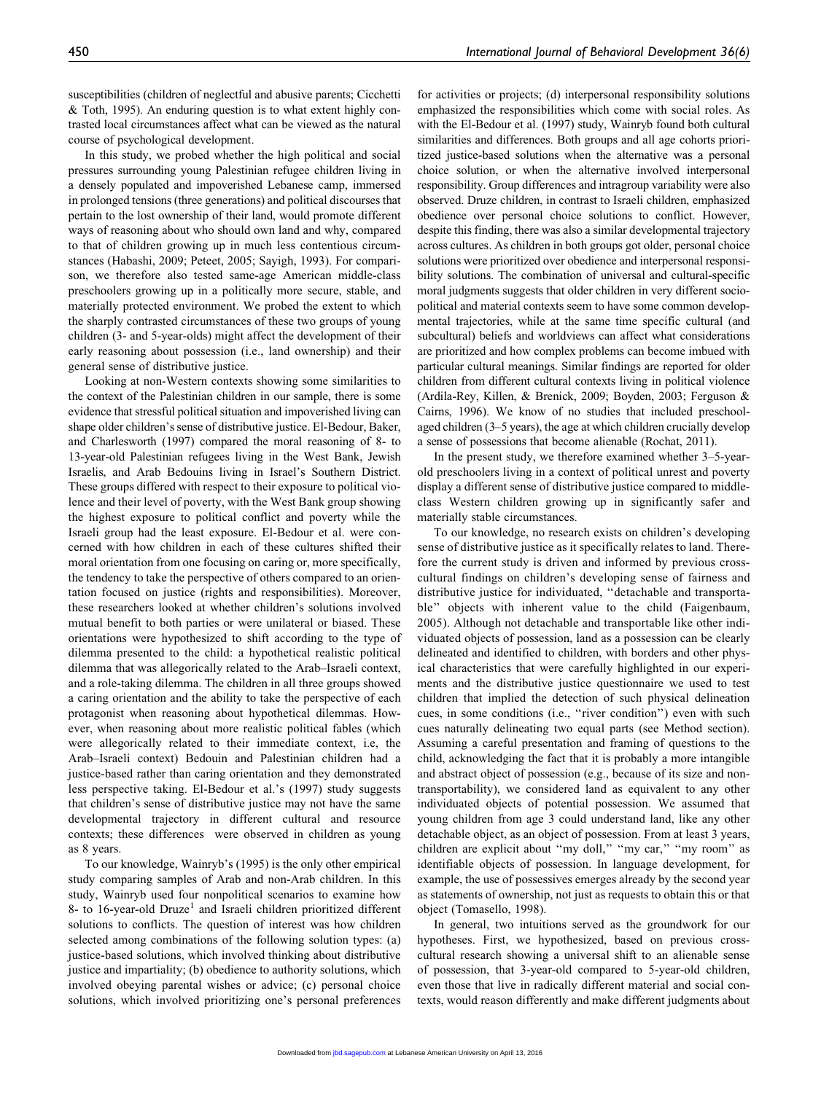susceptibilities (children of neglectful and abusive parents; Cicchetti & Toth, 1995). An enduring question is to what extent highly contrasted local circumstances affect what can be viewed as the natural course of psychological development.

In this study, we probed whether the high political and social pressures surrounding young Palestinian refugee children living in a densely populated and impoverished Lebanese camp, immersed in prolonged tensions (three generations) and political discourses that pertain to the lost ownership of their land, would promote different ways of reasoning about who should own land and why, compared to that of children growing up in much less contentious circumstances (Habashi, 2009; Peteet, 2005; Sayigh, 1993). For comparison, we therefore also tested same-age American middle-class preschoolers growing up in a politically more secure, stable, and materially protected environment. We probed the extent to which the sharply contrasted circumstances of these two groups of young children (3- and 5-year-olds) might affect the development of their early reasoning about possession (i.e., land ownership) and their general sense of distributive justice.

Looking at non-Western contexts showing some similarities to the context of the Palestinian children in our sample, there is some evidence that stressful political situation and impoverished living can shape older children's sense of distributive justice. El-Bedour, Baker, and Charlesworth (1997) compared the moral reasoning of 8- to 13-year-old Palestinian refugees living in the West Bank, Jewish Israelis, and Arab Bedouins living in Israel's Southern District. These groups differed with respect to their exposure to political violence and their level of poverty, with the West Bank group showing the highest exposure to political conflict and poverty while the Israeli group had the least exposure. El-Bedour et al. were concerned with how children in each of these cultures shifted their moral orientation from one focusing on caring or, more specifically, the tendency to take the perspective of others compared to an orientation focused on justice (rights and responsibilities). Moreover, these researchers looked at whether children's solutions involved mutual benefit to both parties or were unilateral or biased. These orientations were hypothesized to shift according to the type of dilemma presented to the child: a hypothetical realistic political dilemma that was allegorically related to the Arab–Israeli context, and a role-taking dilemma. The children in all three groups showed a caring orientation and the ability to take the perspective of each protagonist when reasoning about hypothetical dilemmas. However, when reasoning about more realistic political fables (which were allegorically related to their immediate context, i.e, the Arab–Israeli context) Bedouin and Palestinian children had a justice-based rather than caring orientation and they demonstrated less perspective taking. El-Bedour et al.'s (1997) study suggests that children's sense of distributive justice may not have the same developmental trajectory in different cultural and resource contexts; these differences were observed in children as young as 8 years.

To our knowledge, Wainryb's (1995) is the only other empirical study comparing samples of Arab and non-Arab children. In this study, Wainryb used four nonpolitical scenarios to examine how 8- to 16-year-old  $Druze<sup>1</sup>$  and Israeli children prioritized different solutions to conflicts. The question of interest was how children selected among combinations of the following solution types: (a) justice-based solutions, which involved thinking about distributive justice and impartiality; (b) obedience to authority solutions, which involved obeying parental wishes or advice; (c) personal choice solutions, which involved prioritizing one's personal preferences

for activities or projects; (d) interpersonal responsibility solutions emphasized the responsibilities which come with social roles. As with the El-Bedour et al. (1997) study, Wainryb found both cultural similarities and differences. Both groups and all age cohorts prioritized justice-based solutions when the alternative was a personal choice solution, or when the alternative involved interpersonal responsibility. Group differences and intragroup variability were also observed. Druze children, in contrast to Israeli children, emphasized obedience over personal choice solutions to conflict. However, despite this finding, there was also a similar developmental trajectory across cultures. As children in both groups got older, personal choice solutions were prioritized over obedience and interpersonal responsibility solutions. The combination of universal and cultural-specific moral judgments suggests that older children in very different sociopolitical and material contexts seem to have some common developmental trajectories, while at the same time specific cultural (and subcultural) beliefs and worldviews can affect what considerations are prioritized and how complex problems can become imbued with particular cultural meanings. Similar findings are reported for older children from different cultural contexts living in political violence (Ardila-Rey, Killen, & Brenick, 2009; Boyden, 2003; Ferguson & Cairns, 1996). We know of no studies that included preschoolaged children (3–5 years), the age at which children crucially develop a sense of possessions that become alienable (Rochat, 2011).

In the present study, we therefore examined whether 3–5-yearold preschoolers living in a context of political unrest and poverty display a different sense of distributive justice compared to middleclass Western children growing up in significantly safer and materially stable circumstances.

To our knowledge, no research exists on children's developing sense of distributive justice as it specifically relates to land. Therefore the current study is driven and informed by previous crosscultural findings on children's developing sense of fairness and distributive justice for individuated, ''detachable and transportable" objects with inherent value to the child (Faigenbaum, 2005). Although not detachable and transportable like other individuated objects of possession, land as a possession can be clearly delineated and identified to children, with borders and other physical characteristics that were carefully highlighted in our experiments and the distributive justice questionnaire we used to test children that implied the detection of such physical delineation cues, in some conditions (i.e., ''river condition'') even with such cues naturally delineating two equal parts (see Method section). Assuming a careful presentation and framing of questions to the child, acknowledging the fact that it is probably a more intangible and abstract object of possession (e.g., because of its size and nontransportability), we considered land as equivalent to any other individuated objects of potential possession. We assumed that young children from age 3 could understand land, like any other detachable object, as an object of possession. From at least 3 years, children are explicit about ''my doll,'' ''my car,'' ''my room'' as identifiable objects of possession. In language development, for example, the use of possessives emerges already by the second year as statements of ownership, not just as requests to obtain this or that object (Tomasello, 1998).

In general, two intuitions served as the groundwork for our hypotheses. First, we hypothesized, based on previous crosscultural research showing a universal shift to an alienable sense of possession, that 3-year-old compared to 5-year-old children, even those that live in radically different material and social contexts, would reason differently and make different judgments about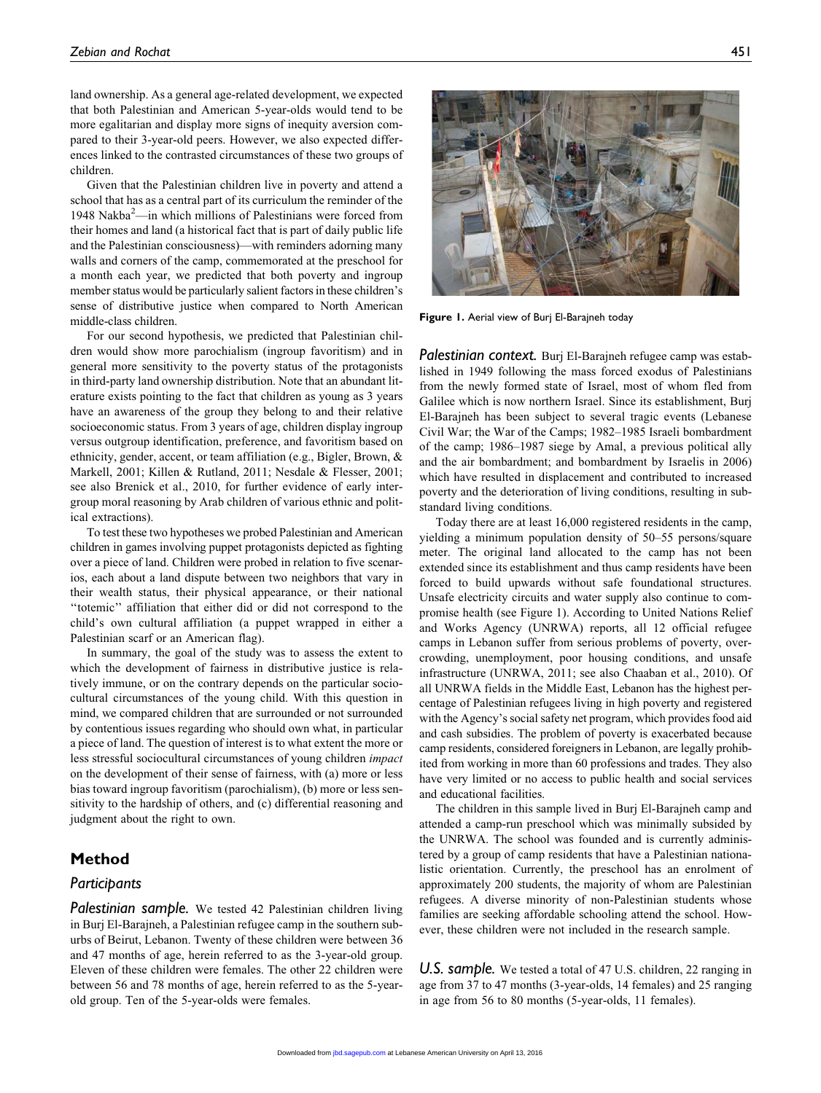land ownership. As a general age-related development, we expected that both Palestinian and American 5-year-olds would tend to be more egalitarian and display more signs of inequity aversion compared to their 3-year-old peers. However, we also expected differences linked to the contrasted circumstances of these two groups of children.

Given that the Palestinian children live in poverty and attend a school that has as a central part of its curriculum the reminder of the 1948 Nakba<sup>2</sup>—in which millions of Palestinians were forced from their homes and land (a historical fact that is part of daily public life and the Palestinian consciousness)—with reminders adorning many walls and corners of the camp, commemorated at the preschool for a month each year, we predicted that both poverty and ingroup member status would be particularly salient factors in these children's sense of distributive justice when compared to North American middle-class children.

For our second hypothesis, we predicted that Palestinian children would show more parochialism (ingroup favoritism) and in general more sensitivity to the poverty status of the protagonists in third-party land ownership distribution. Note that an abundant literature exists pointing to the fact that children as young as 3 years have an awareness of the group they belong to and their relative socioeconomic status. From 3 years of age, children display ingroup versus outgroup identification, preference, and favoritism based on ethnicity, gender, accent, or team affiliation (e.g., Bigler, Brown, & Markell, 2001; Killen & Rutland, 2011; Nesdale & Flesser, 2001; see also Brenick et al., 2010, for further evidence of early intergroup moral reasoning by Arab children of various ethnic and political extractions).

To test these two hypotheses we probed Palestinian and American children in games involving puppet protagonists depicted as fighting over a piece of land. Children were probed in relation to five scenarios, each about a land dispute between two neighbors that vary in their wealth status, their physical appearance, or their national ''totemic'' affiliation that either did or did not correspond to the child's own cultural affiliation (a puppet wrapped in either a Palestinian scarf or an American flag).

In summary, the goal of the study was to assess the extent to which the development of fairness in distributive justice is relatively immune, or on the contrary depends on the particular sociocultural circumstances of the young child. With this question in mind, we compared children that are surrounded or not surrounded by contentious issues regarding who should own what, in particular a piece of land. The question of interest is to what extent the more or less stressful sociocultural circumstances of young children impact on the development of their sense of fairness, with (a) more or less bias toward ingroup favoritism (parochialism), (b) more or less sensitivity to the hardship of others, and (c) differential reasoning and judgment about the right to own.

## Method

#### **Participants**

Palestinian sample. We tested 42 Palestinian children living in Burj El-Barajneh, a Palestinian refugee camp in the southern suburbs of Beirut, Lebanon. Twenty of these children were between 36 and 47 months of age, herein referred to as the 3-year-old group. Eleven of these children were females. The other 22 children were between 56 and 78 months of age, herein referred to as the 5-yearold group. Ten of the 5-year-olds were females.



Figure 1. Aerial view of Burj El-Barajneh today

Palestinian context. Burj El-Barajneh refugee camp was established in 1949 following the mass forced exodus of Palestinians from the newly formed state of Israel, most of whom fled from Galilee which is now northern Israel. Since its establishment, Burj El-Barajneh has been subject to several tragic events (Lebanese Civil War; the War of the Camps; 1982–1985 Israeli bombardment of the camp; 1986–1987 siege by Amal, a previous political ally and the air bombardment; and bombardment by Israelis in 2006) which have resulted in displacement and contributed to increased poverty and the deterioration of living conditions, resulting in substandard living conditions.

Today there are at least 16,000 registered residents in the camp, yielding a minimum population density of 50–55 persons/square meter. The original land allocated to the camp has not been extended since its establishment and thus camp residents have been forced to build upwards without safe foundational structures. Unsafe electricity circuits and water supply also continue to compromise health (see Figure 1). According to United Nations Relief and Works Agency (UNRWA) reports, all 12 official refugee camps in Lebanon suffer from serious problems of poverty, overcrowding, unemployment, poor housing conditions, and unsafe infrastructure (UNRWA, 2011; see also Chaaban et al., 2010). Of all UNRWA fields in the Middle East, Lebanon has the highest percentage of Palestinian refugees living in high poverty and registered with the Agency's social safety net program, which provides food aid and cash subsidies. The problem of poverty is exacerbated because camp residents, considered foreigners in Lebanon, are legally prohibited from working in more than 60 professions and trades. They also have very limited or no access to public health and social services and educational facilities.

The children in this sample lived in Burj El-Barajneh camp and attended a camp-run preschool which was minimally subsided by the UNRWA. The school was founded and is currently administered by a group of camp residents that have a Palestinian nationalistic orientation. Currently, the preschool has an enrolment of approximately 200 students, the majority of whom are Palestinian refugees. A diverse minority of non-Palestinian students whose families are seeking affordable schooling attend the school. However, these children were not included in the research sample.

U.S. sample. We tested a total of 47 U.S. children, 22 ranging in age from 37 to 47 months (3-year-olds, 14 females) and 25 ranging in age from 56 to 80 months (5-year-olds, 11 females).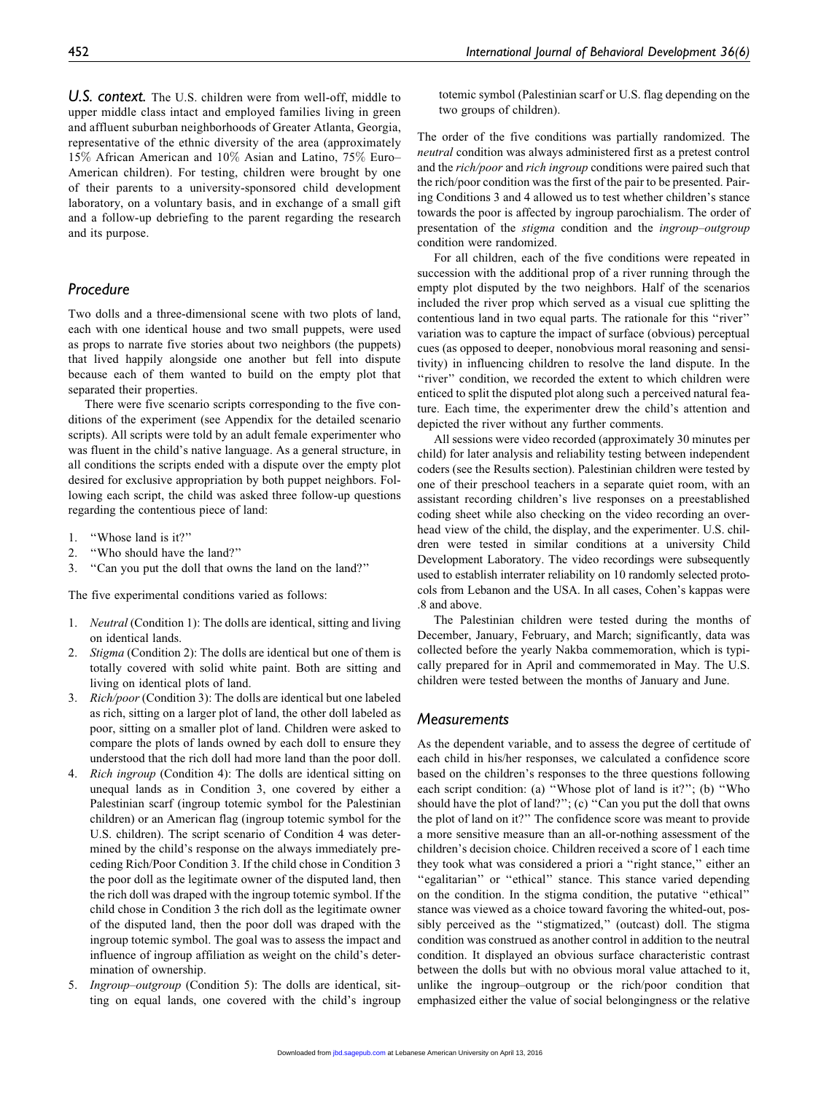U.S. context. The U.S. children were from well-off, middle to upper middle class intact and employed families living in green and affluent suburban neighborhoods of Greater Atlanta, Georgia, representative of the ethnic diversity of the area (approximately 15% African American and 10% Asian and Latino, 75% Euro– American children). For testing, children were brought by one of their parents to a university-sponsored child development laboratory, on a voluntary basis, and in exchange of a small gift and a follow-up debriefing to the parent regarding the research and its purpose.

### Procedure

Two dolls and a three-dimensional scene with two plots of land, each with one identical house and two small puppets, were used as props to narrate five stories about two neighbors (the puppets) that lived happily alongside one another but fell into dispute because each of them wanted to build on the empty plot that separated their properties.

There were five scenario scripts corresponding to the five conditions of the experiment (see Appendix for the detailed scenario scripts). All scripts were told by an adult female experimenter who was fluent in the child's native language. As a general structure, in all conditions the scripts ended with a dispute over the empty plot desired for exclusive appropriation by both puppet neighbors. Following each script, the child was asked three follow-up questions regarding the contentious piece of land:

- 1. ''Whose land is it?''
- 2. ''Who should have the land?''
- 3. ''Can you put the doll that owns the land on the land?''

The five experimental conditions varied as follows:

- 1. Neutral (Condition 1): The dolls are identical, sitting and living on identical lands.
- 2. Stigma (Condition 2): The dolls are identical but one of them is totally covered with solid white paint. Both are sitting and living on identical plots of land.
- 3. Rich/poor (Condition 3): The dolls are identical but one labeled as rich, sitting on a larger plot of land, the other doll labeled as poor, sitting on a smaller plot of land. Children were asked to compare the plots of lands owned by each doll to ensure they understood that the rich doll had more land than the poor doll.
- 4. Rich ingroup (Condition 4): The dolls are identical sitting on unequal lands as in Condition 3, one covered by either a Palestinian scarf (ingroup totemic symbol for the Palestinian children) or an American flag (ingroup totemic symbol for the U.S. children). The script scenario of Condition 4 was determined by the child's response on the always immediately preceding Rich/Poor Condition 3. If the child chose in Condition 3 the poor doll as the legitimate owner of the disputed land, then the rich doll was draped with the ingroup totemic symbol. If the child chose in Condition 3 the rich doll as the legitimate owner of the disputed land, then the poor doll was draped with the ingroup totemic symbol. The goal was to assess the impact and influence of ingroup affiliation as weight on the child's determination of ownership.
- 5. Ingroup–outgroup (Condition 5): The dolls are identical, sitting on equal lands, one covered with the child's ingroup

totemic symbol (Palestinian scarf or U.S. flag depending on the two groups of children).

The order of the five conditions was partially randomized. The neutral condition was always administered first as a pretest control and the rich/poor and rich ingroup conditions were paired such that the rich/poor condition was the first of the pair to be presented. Pairing Conditions 3 and 4 allowed us to test whether children's stance towards the poor is affected by ingroup parochialism. The order of presentation of the stigma condition and the ingroup–outgroup condition were randomized.

For all children, each of the five conditions were repeated in succession with the additional prop of a river running through the empty plot disputed by the two neighbors. Half of the scenarios included the river prop which served as a visual cue splitting the contentious land in two equal parts. The rationale for this "river" variation was to capture the impact of surface (obvious) perceptual cues (as opposed to deeper, nonobvious moral reasoning and sensitivity) in influencing children to resolve the land dispute. In the "river" condition, we recorded the extent to which children were enticed to split the disputed plot along such a perceived natural feature. Each time, the experimenter drew the child's attention and depicted the river without any further comments.

All sessions were video recorded (approximately 30 minutes per child) for later analysis and reliability testing between independent coders (see the Results section). Palestinian children were tested by one of their preschool teachers in a separate quiet room, with an assistant recording children's live responses on a preestablished coding sheet while also checking on the video recording an overhead view of the child, the display, and the experimenter. U.S. children were tested in similar conditions at a university Child Development Laboratory. The video recordings were subsequently used to establish interrater reliability on 10 randomly selected protocols from Lebanon and the USA. In all cases, Cohen's kappas were .8 and above.

The Palestinian children were tested during the months of December, January, February, and March; significantly, data was collected before the yearly Nakba commemoration, which is typically prepared for in April and commemorated in May. The U.S. children were tested between the months of January and June.

#### **Measurements**

As the dependent variable, and to assess the degree of certitude of each child in his/her responses, we calculated a confidence score based on the children's responses to the three questions following each script condition: (a) ''Whose plot of land is it?''; (b) ''Who should have the plot of land?"; (c) "Can you put the doll that owns the plot of land on it?'' The confidence score was meant to provide a more sensitive measure than an all-or-nothing assessment of the children's decision choice. Children received a score of 1 each time they took what was considered a priori a ''right stance,'' either an "egalitarian" or "ethical" stance. This stance varied depending on the condition. In the stigma condition, the putative ''ethical'' stance was viewed as a choice toward favoring the whited-out, possibly perceived as the ''stigmatized,'' (outcast) doll. The stigma condition was construed as another control in addition to the neutral condition. It displayed an obvious surface characteristic contrast between the dolls but with no obvious moral value attached to it, unlike the ingroup–outgroup or the rich/poor condition that emphasized either the value of social belongingness or the relative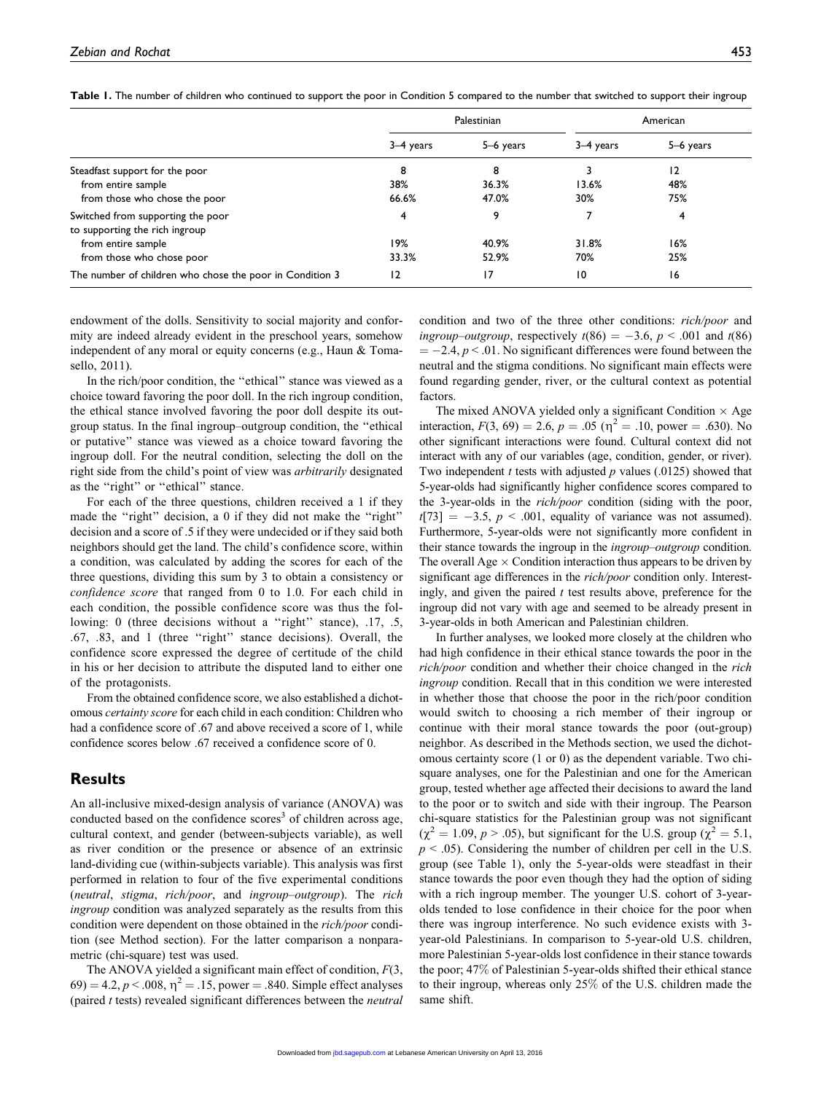Table 1. The number of children who continued to support the poor in Condition 5 compared to the number that switched to support their ingroup

|                                                          | Palestinian |           | American    |                |
|----------------------------------------------------------|-------------|-----------|-------------|----------------|
|                                                          | $3-4$ years | 5-6 years | $3-4$ years | 5–6 years      |
| Steadfast support for the poor                           | 8           | 8         |             | $\overline{2}$ |
| from entire sample                                       | 38%         | 36.3%     | 13.6%       | 48%            |
| from those who chose the poor                            | 66.6%       | 47.0%     | 30%         | 75%            |
| Switched from supporting the poor                        | 4           | 9         |             | 4              |
| to supporting the rich ingroup                           |             |           |             |                |
| from entire sample                                       | 19%         | 40.9%     | 31.8%       | 16%            |
| from those who chose poor                                | 33.3%       | 52.9%     | 70%         | 25%            |
| The number of children who chose the poor in Condition 3 | 12          | 17        | 10          | 16             |

endowment of the dolls. Sensitivity to social majority and conformity are indeed already evident in the preschool years, somehow independent of any moral or equity concerns (e.g., Haun & Tomasello, 2011).

In the rich/poor condition, the ''ethical'' stance was viewed as a choice toward favoring the poor doll. In the rich ingroup condition, the ethical stance involved favoring the poor doll despite its outgroup status. In the final ingroup–outgroup condition, the ''ethical or putative'' stance was viewed as a choice toward favoring the ingroup doll. For the neutral condition, selecting the doll on the right side from the child's point of view was arbitrarily designated as the "right" or "ethical" stance.

For each of the three questions, children received a 1 if they made the "right" decision, a 0 if they did not make the "right" decision and a score of .5 if they were undecided or if they said both neighbors should get the land. The child's confidence score, within a condition, was calculated by adding the scores for each of the three questions, dividing this sum by 3 to obtain a consistency or confidence score that ranged from 0 to 1.0. For each child in each condition, the possible confidence score was thus the following: 0 (three decisions without a "right" stance), .17, .5, .67, .83, and 1 (three ''right'' stance decisions). Overall, the confidence score expressed the degree of certitude of the child in his or her decision to attribute the disputed land to either one of the protagonists.

From the obtained confidence score, we also established a dichotomous certainty score for each child in each condition: Children who had a confidence score of .67 and above received a score of 1, while confidence scores below .67 received a confidence score of 0.

#### Results

An all-inclusive mixed-design analysis of variance (ANOVA) was conducted based on the confidence  $\text{scores}^3$  of children across age, cultural context, and gender (between-subjects variable), as well as river condition or the presence or absence of an extrinsic land-dividing cue (within-subjects variable). This analysis was first performed in relation to four of the five experimental conditions (neutral, stigma, rich/poor, and ingroup–outgroup). The rich ingroup condition was analyzed separately as the results from this condition were dependent on those obtained in the rich/poor condition (see Method section). For the latter comparison a nonparametric (chi-square) test was used.

The ANOVA yielded a significant main effect of condition,  $F(3, 1)$  $(69) = 4.2, p < .008, \eta^2 = .15, power = .840$ . Simple effect analyses (paired  $t$  tests) revealed significant differences between the *neutral*  condition and two of the three other conditions: rich/poor and ingroup–outgroup, respectively  $t(86) = -3.6$ ,  $p < .001$  and  $t(86)$  $= -2.4, p < 0.01$ . No significant differences were found between the neutral and the stigma conditions. No significant main effects were found regarding gender, river, or the cultural context as potential factors.

The mixed ANOVA yielded only a significant Condition  $\times$  Age interaction,  $F(3, 69) = 2.6$ ,  $p = .05$  ( $\eta^2 = .10$ , power = .630). No other significant interactions were found. Cultural context did not interact with any of our variables (age, condition, gender, or river). Two independent  $t$  tests with adjusted  $p$  values (.0125) showed that 5-year-olds had significantly higher confidence scores compared to the 3-year-olds in the rich/poor condition (siding with the poor,  $t[73] = -3.5, p < .001$ , equality of variance was not assumed). Furthermore, 5-year-olds were not significantly more confident in their stance towards the ingroup in the ingroup-outgroup condition. The overall Age  $\times$  Condition interaction thus appears to be driven by significant age differences in the rich/poor condition only. Interestingly, and given the paired  $t$  test results above, preference for the ingroup did not vary with age and seemed to be already present in 3-year-olds in both American and Palestinian children.

In further analyses, we looked more closely at the children who had high confidence in their ethical stance towards the poor in the rich/poor condition and whether their choice changed in the rich ingroup condition. Recall that in this condition we were interested in whether those that choose the poor in the rich/poor condition would switch to choosing a rich member of their ingroup or continue with their moral stance towards the poor (out-group) neighbor. As described in the Methods section, we used the dichotomous certainty score (1 or 0) as the dependent variable. Two chisquare analyses, one for the Palestinian and one for the American group, tested whether age affected their decisions to award the land to the poor or to switch and side with their ingroup. The Pearson chi-square statistics for the Palestinian group was not significant  $(\chi^2 = 1.09, p > .05)$ , but significant for the U.S. group  $(\chi^2 = 5.1,$  $p < .05$ ). Considering the number of children per cell in the U.S. group (see Table 1), only the 5-year-olds were steadfast in their stance towards the poor even though they had the option of siding with a rich ingroup member. The younger U.S. cohort of 3-yearolds tended to lose confidence in their choice for the poor when there was ingroup interference. No such evidence exists with 3 year-old Palestinians. In comparison to 5-year-old U.S. children, more Palestinian 5-year-olds lost confidence in their stance towards the poor; 47% of Palestinian 5-year-olds shifted their ethical stance to their ingroup, whereas only 25% of the U.S. children made the same shift.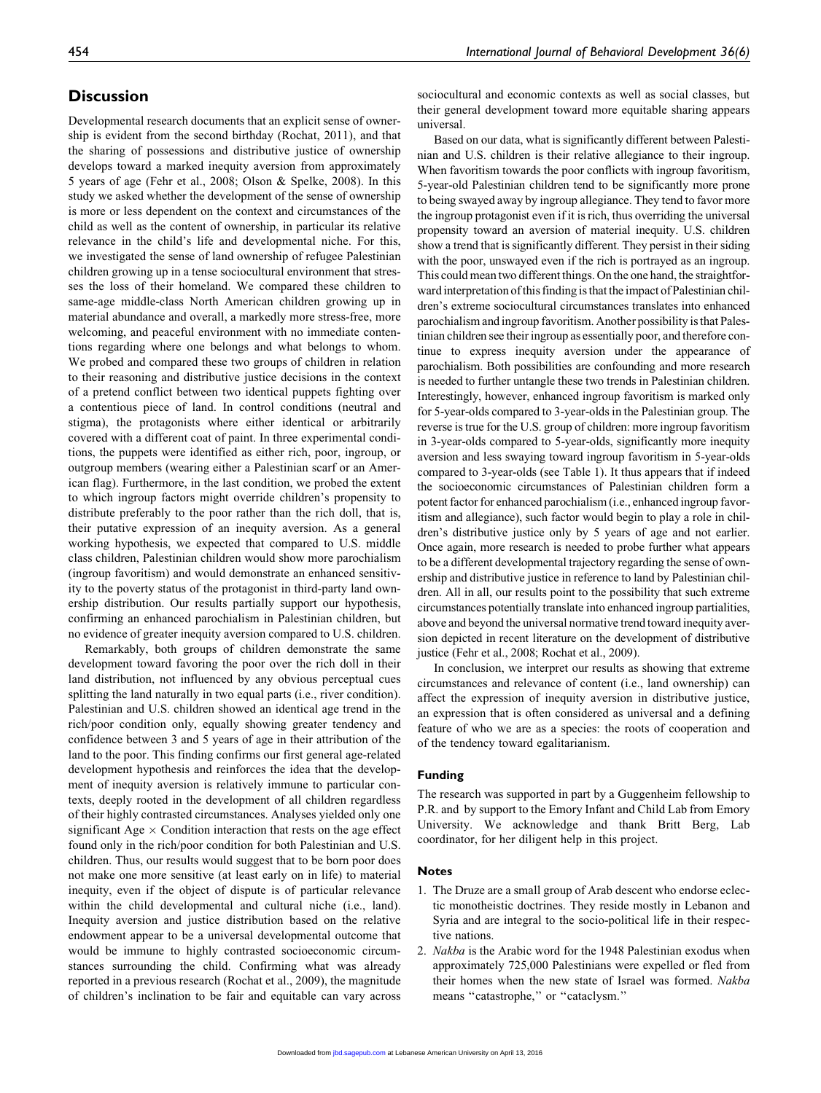## **Discussion**

Developmental research documents that an explicit sense of ownership is evident from the second birthday (Rochat, 2011), and that the sharing of possessions and distributive justice of ownership develops toward a marked inequity aversion from approximately 5 years of age (Fehr et al., 2008; Olson & Spelke, 2008). In this study we asked whether the development of the sense of ownership is more or less dependent on the context and circumstances of the child as well as the content of ownership, in particular its relative relevance in the child's life and developmental niche. For this, we investigated the sense of land ownership of refugee Palestinian children growing up in a tense sociocultural environment that stresses the loss of their homeland. We compared these children to same-age middle-class North American children growing up in material abundance and overall, a markedly more stress-free, more welcoming, and peaceful environment with no immediate contentions regarding where one belongs and what belongs to whom. We probed and compared these two groups of children in relation to their reasoning and distributive justice decisions in the context of a pretend conflict between two identical puppets fighting over a contentious piece of land. In control conditions (neutral and stigma), the protagonists where either identical or arbitrarily covered with a different coat of paint. In three experimental conditions, the puppets were identified as either rich, poor, ingroup, or outgroup members (wearing either a Palestinian scarf or an American flag). Furthermore, in the last condition, we probed the extent to which ingroup factors might override children's propensity to distribute preferably to the poor rather than the rich doll, that is, their putative expression of an inequity aversion. As a general working hypothesis, we expected that compared to U.S. middle class children, Palestinian children would show more parochialism (ingroup favoritism) and would demonstrate an enhanced sensitivity to the poverty status of the protagonist in third-party land ownership distribution. Our results partially support our hypothesis, confirming an enhanced parochialism in Palestinian children, but no evidence of greater inequity aversion compared to U.S. children.

Remarkably, both groups of children demonstrate the same development toward favoring the poor over the rich doll in their land distribution, not influenced by any obvious perceptual cues splitting the land naturally in two equal parts (i.e., river condition). Palestinian and U.S. children showed an identical age trend in the rich/poor condition only, equally showing greater tendency and confidence between 3 and 5 years of age in their attribution of the land to the poor. This finding confirms our first general age-related development hypothesis and reinforces the idea that the development of inequity aversion is relatively immune to particular contexts, deeply rooted in the development of all children regardless of their highly contrasted circumstances. Analyses yielded only one significant Age  $\times$  Condition interaction that rests on the age effect found only in the rich/poor condition for both Palestinian and U.S. children. Thus, our results would suggest that to be born poor does not make one more sensitive (at least early on in life) to material inequity, even if the object of dispute is of particular relevance within the child developmental and cultural niche (i.e., land). Inequity aversion and justice distribution based on the relative endowment appear to be a universal developmental outcome that would be immune to highly contrasted socioeconomic circumstances surrounding the child. Confirming what was already reported in a previous research (Rochat et al., 2009), the magnitude of children's inclination to be fair and equitable can vary across sociocultural and economic contexts as well as social classes, but their general development toward more equitable sharing appears universal.

Based on our data, what is significantly different between Palestinian and U.S. children is their relative allegiance to their ingroup. When favoritism towards the poor conflicts with ingroup favoritism, 5-year-old Palestinian children tend to be significantly more prone to being swayed away by ingroup allegiance. They tend to favor more the ingroup protagonist even if it is rich, thus overriding the universal propensity toward an aversion of material inequity. U.S. children show a trend that is significantly different. They persist in their siding with the poor, unswayed even if the rich is portrayed as an ingroup. This could mean two different things. On the one hand, the straightforward interpretation of this finding is that the impact of Palestinian children's extreme sociocultural circumstances translates into enhanced parochialism and ingroup favoritism. Another possibility is that Palestinian children see their ingroup as essentially poor, and therefore continue to express inequity aversion under the appearance of parochialism. Both possibilities are confounding and more research is needed to further untangle these two trends in Palestinian children. Interestingly, however, enhanced ingroup favoritism is marked only for 5-year-olds compared to 3-year-olds in the Palestinian group. The reverse is true for the U.S. group of children: more ingroup favoritism in 3-year-olds compared to 5-year-olds, significantly more inequity aversion and less swaying toward ingroup favoritism in 5-year-olds compared to 3-year-olds (see Table 1). It thus appears that if indeed the socioeconomic circumstances of Palestinian children form a potent factor for enhanced parochialism (i.e., enhanced ingroup favoritism and allegiance), such factor would begin to play a role in children's distributive justice only by 5 years of age and not earlier. Once again, more research is needed to probe further what appears to be a different developmental trajectory regarding the sense of ownership and distributive justice in reference to land by Palestinian children. All in all, our results point to the possibility that such extreme circumstances potentially translate into enhanced ingroup partialities, above and beyond the universal normative trend toward inequity aversion depicted in recent literature on the development of distributive justice (Fehr et al., 2008; Rochat et al., 2009).

In conclusion, we interpret our results as showing that extreme circumstances and relevance of content (i.e., land ownership) can affect the expression of inequity aversion in distributive justice, an expression that is often considered as universal and a defining feature of who we are as a species: the roots of cooperation and of the tendency toward egalitarianism.

#### Funding

The research was supported in part by a Guggenheim fellowship to P.R. and by support to the Emory Infant and Child Lab from Emory University. We acknowledge and thank Britt Berg, Lab coordinator, for her diligent help in this project.

#### Notes

- 1. The Druze are a small group of Arab descent who endorse eclectic monotheistic doctrines. They reside mostly in Lebanon and Syria and are integral to the socio-political life in their respective nations.
- 2. Nakba is the Arabic word for the 1948 Palestinian exodus when approximately 725,000 Palestinians were expelled or fled from their homes when the new state of Israel was formed. Nakba means ''catastrophe,'' or ''cataclysm.''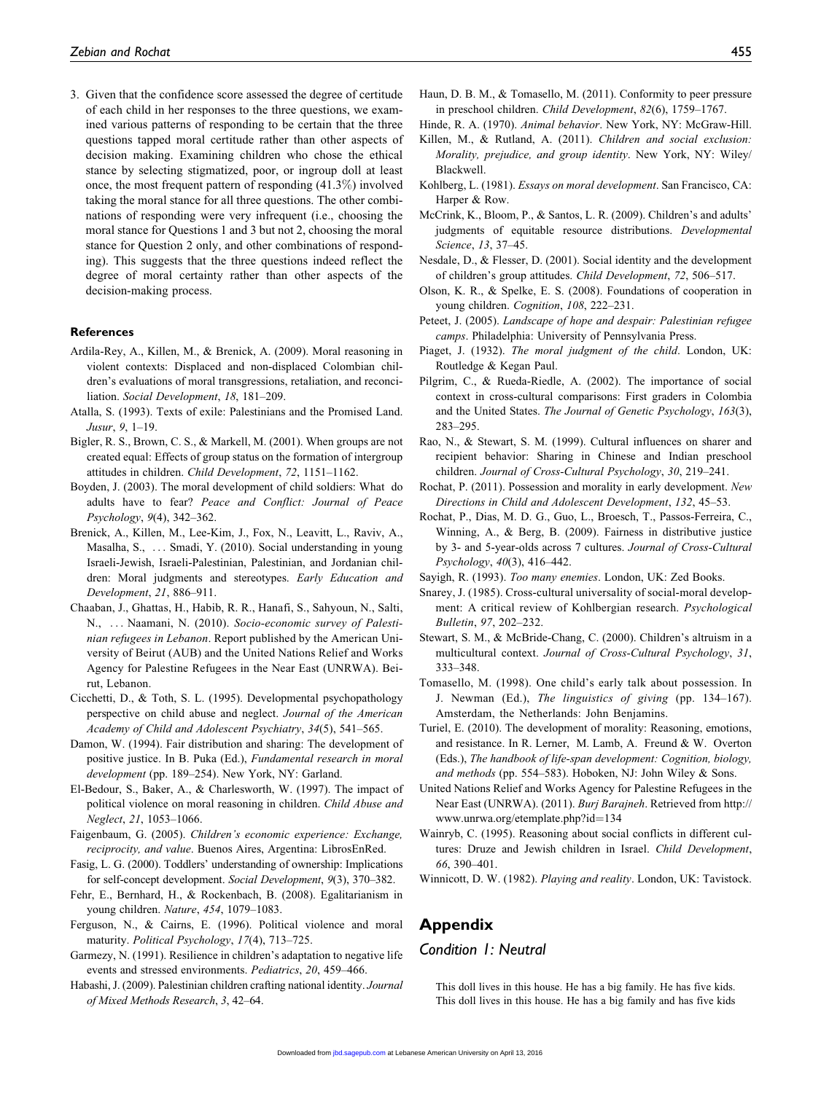3. Given that the confidence score assessed the degree of certitude of each child in her responses to the three questions, we examined various patterns of responding to be certain that the three questions tapped moral certitude rather than other aspects of decision making. Examining children who chose the ethical stance by selecting stigmatized, poor, or ingroup doll at least once, the most frequent pattern of responding (41.3%) involved taking the moral stance for all three questions. The other combinations of responding were very infrequent (i.e., choosing the moral stance for Questions 1 and 3 but not 2, choosing the moral stance for Question 2 only, and other combinations of responding). This suggests that the three questions indeed reflect the degree of moral certainty rather than other aspects of the decision-making process.

#### **References**

- Ardila-Rey, A., Killen, M., & Brenick, A. (2009). Moral reasoning in violent contexts: Displaced and non-displaced Colombian children's evaluations of moral transgressions, retaliation, and reconciliation. Social Development, 18, 181–209.
- Atalla, S. (1993). Texts of exile: Palestinians and the Promised Land. Jusur, 9, 1–19.
- Bigler, R. S., Brown, C. S., & Markell, M. (2001). When groups are not created equal: Effects of group status on the formation of intergroup attitudes in children. Child Development, 72, 1151–1162.
- Boyden, J. (2003). The moral development of child soldiers: What do adults have to fear? Peace and Conflict: Journal of Peace Psychology, 9(4), 342–362.
- Brenick, A., Killen, M., Lee-Kim, J., Fox, N., Leavitt, L., Raviv, A., Masalha, S., ... Smadi, Y. (2010). Social understanding in young Israeli-Jewish, Israeli-Palestinian, Palestinian, and Jordanian children: Moral judgments and stereotypes. Early Education and Development, 21, 886–911.
- Chaaban, J., Ghattas, H., Habib, R. R., Hanafi, S., Sahyoun, N., Salti, N., ... Naamani, N. (2010). Socio-economic survey of Palestinian refugees in Lebanon. Report published by the American University of Beirut (AUB) and the United Nations Relief and Works Agency for Palestine Refugees in the Near East (UNRWA). Beirut, Lebanon.
- Cicchetti, D., & Toth, S. L. (1995). Developmental psychopathology perspective on child abuse and neglect. Journal of the American Academy of Child and Adolescent Psychiatry, 34(5), 541–565.
- Damon, W. (1994). Fair distribution and sharing: The development of positive justice. In B. Puka (Ed.), Fundamental research in moral development (pp. 189-254). New York, NY: Garland.
- El-Bedour, S., Baker, A., & Charlesworth, W. (1997). The impact of political violence on moral reasoning in children. Child Abuse and Neglect, 21, 1053–1066.
- Faigenbaum, G. (2005). Children's economic experience: Exchange, reciprocity, and value. Buenos Aires, Argentina: LibrosEnRed.
- Fasig, L. G. (2000). Toddlers' understanding of ownership: Implications for self-concept development. Social Development, 9(3), 370–382.
- Fehr, E., Bernhard, H., & Rockenbach, B. (2008). Egalitarianism in young children. Nature, 454, 1079–1083.
- Ferguson, N., & Cairns, E. (1996). Political violence and moral maturity. Political Psychology, 17(4), 713–725.
- Garmezy, N. (1991). Resilience in children's adaptation to negative life events and stressed environments. Pediatrics, 20, 459–466.
- Habashi, J. (2009). Palestinian children crafting national identity. Journal of Mixed Methods Research, 3, 42–64.
- Haun, D. B. M., & Tomasello, M. (2011). Conformity to peer pressure in preschool children. Child Development, 82(6), 1759–1767.
- Hinde, R. A. (1970). Animal behavior. New York, NY: McGraw-Hill.
- Killen, M., & Rutland, A. (2011). Children and social exclusion: Morality, prejudice, and group identity. New York, NY: Wiley/ Blackwell.
- Kohlberg, L. (1981). Essays on moral development. San Francisco, CA: Harper & Row.
- McCrink, K., Bloom, P., & Santos, L. R. (2009). Children's and adults' judgments of equitable resource distributions. Developmental Science, 13, 37–45.
- Nesdale, D., & Flesser, D. (2001). Social identity and the development of children's group attitudes. Child Development, 72, 506–517.
- Olson, K. R., & Spelke, E. S. (2008). Foundations of cooperation in young children. Cognition, 108, 222–231.
- Peteet, J. (2005). Landscape of hope and despair: Palestinian refugee camps. Philadelphia: University of Pennsylvania Press.
- Piaget, J. (1932). The moral judgment of the child. London, UK: Routledge & Kegan Paul.
- Pilgrim, C., & Rueda-Riedle, A. (2002). The importance of social context in cross-cultural comparisons: First graders in Colombia and the United States. The Journal of Genetic Psychology, 163(3), 283–295.
- Rao, N., & Stewart, S. M. (1999). Cultural influences on sharer and recipient behavior: Sharing in Chinese and Indian preschool children. Journal of Cross-Cultural Psychology, 30, 219–241.
- Rochat, P. (2011). Possession and morality in early development. New Directions in Child and Adolescent Development, 132, 45–53.
- Rochat, P., Dias, M. D. G., Guo, L., Broesch, T., Passos-Ferreira, C., Winning, A., & Berg, B. (2009). Fairness in distributive justice by 3- and 5-year-olds across 7 cultures. Journal of Cross-Cultural Psychology, 40(3), 416–442.
- Sayigh, R. (1993). Too many enemies. London, UK: Zed Books.
- Snarey, J. (1985). Cross-cultural universality of social-moral development: A critical review of Kohlbergian research. Psychological Bulletin, 97, 202–232.
- Stewart, S. M., & McBride-Chang, C. (2000). Children's altruism in a multicultural context. Journal of Cross-Cultural Psychology, 31, 333–348.
- Tomasello, M. (1998). One child's early talk about possession. In J. Newman (Ed.), The linguistics of giving (pp. 134–167). Amsterdam, the Netherlands: John Benjamins.
- Turiel, E. (2010). The development of morality: Reasoning, emotions, and resistance. In R. Lerner, M. Lamb, A. Freund & W. Overton (Eds.), The handbook of life-span development: Cognition, biology, and methods (pp. 554–583). Hoboken, NJ: John Wiley & Sons.
- United Nations Relief and Works Agency for Palestine Refugees in the Near East (UNRWA). (2011). Burj Barajneh. Retrieved from http:// www.unrwa.org/etemplate.php?id=134
- Wainryb, C. (1995). Reasoning about social conflicts in different cultures: Druze and Jewish children in Israel. Child Development, 66, 390–401.
- Winnicott, D. W. (1982). Playing and reality. London, UK: Tavistock.

## Appendix

#### Condition 1: Neutral

This doll lives in this house. He has a big family. He has five kids. This doll lives in this house. He has a big family and has five kids